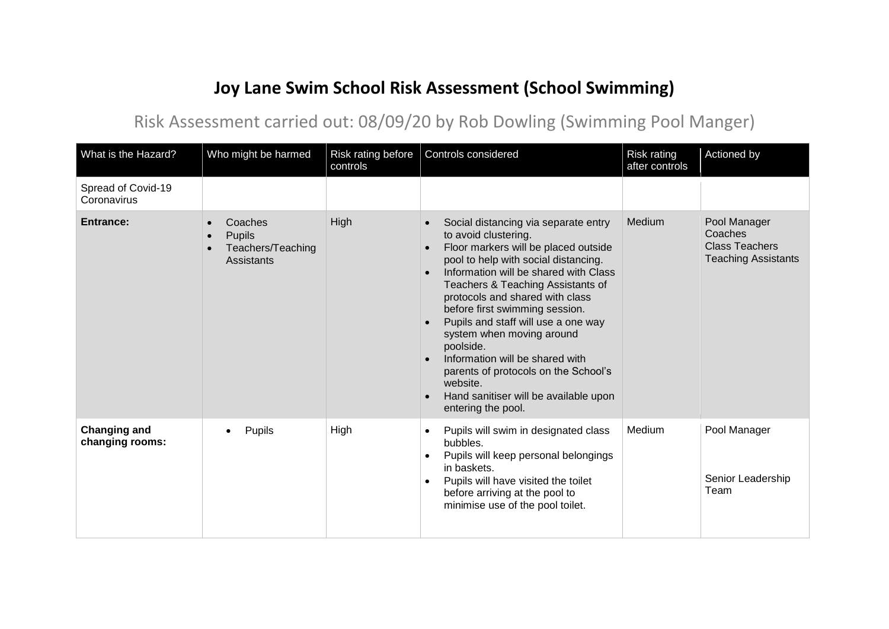## **Joy Lane Swim School Risk Assessment (School Swimming)**

## Risk Assessment carried out: 08/09/20 by Rob Dowling (Swimming Pool Manger)

| What is the Hazard?                    | Who might be harmed                                         | Risk rating before<br>controls | Controls considered                                                                                                                                                                                                                                                                                                                                                                                                                                                                                                                    | Risk rating<br>after controls | Actioned by                                                                    |
|----------------------------------------|-------------------------------------------------------------|--------------------------------|----------------------------------------------------------------------------------------------------------------------------------------------------------------------------------------------------------------------------------------------------------------------------------------------------------------------------------------------------------------------------------------------------------------------------------------------------------------------------------------------------------------------------------------|-------------------------------|--------------------------------------------------------------------------------|
| Spread of Covid-19<br>Coronavirus      |                                                             |                                |                                                                                                                                                                                                                                                                                                                                                                                                                                                                                                                                        |                               |                                                                                |
| <b>Entrance:</b>                       | Coaches<br><b>Pupils</b><br>Teachers/Teaching<br>Assistants | <b>High</b>                    | Social distancing via separate entry<br>to avoid clustering.<br>Floor markers will be placed outside<br>pool to help with social distancing.<br>Information will be shared with Class<br>Teachers & Teaching Assistants of<br>protocols and shared with class<br>before first swimming session.<br>Pupils and staff will use a one way<br>system when moving around<br>poolside.<br>Information will be shared with<br>parents of protocols on the School's<br>website.<br>Hand sanitiser will be available upon<br>entering the pool. | Medium                        | Pool Manager<br>Coaches<br><b>Class Teachers</b><br><b>Teaching Assistants</b> |
| <b>Changing and</b><br>changing rooms: | <b>Pupils</b><br>$\bullet$                                  | High                           | Pupils will swim in designated class<br>$\bullet$<br>bubbles.<br>Pupils will keep personal belongings<br>$\bullet$<br>in baskets.<br>Pupils will have visited the toilet<br>$\bullet$<br>before arriving at the pool to<br>minimise use of the pool toilet.                                                                                                                                                                                                                                                                            | Medium                        | Pool Manager<br>Senior Leadership<br>Team                                      |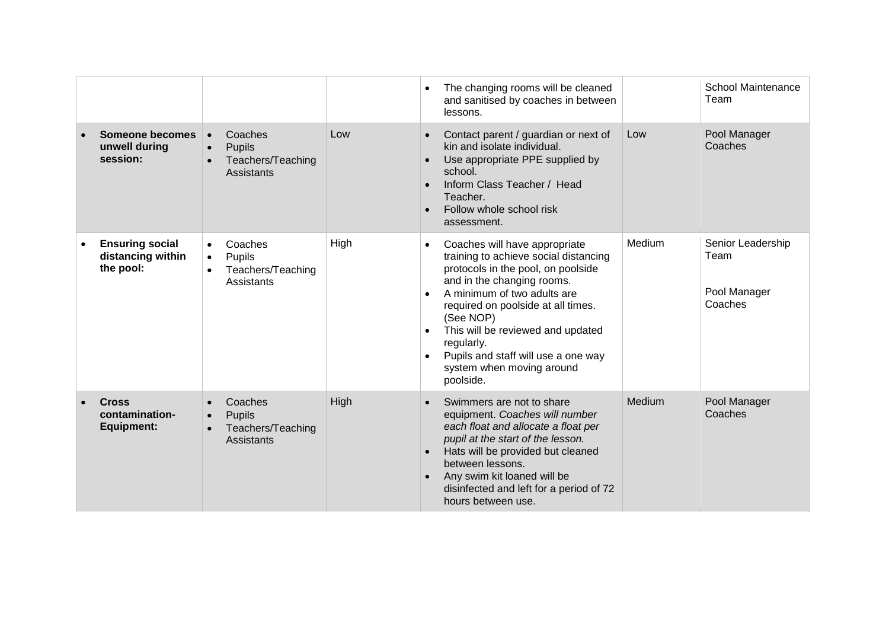|                                                          |                                                             |      |                        | The changing rooms will be cleaned<br>and sanitised by coaches in between<br>lessons.                                                                                                                                                                                                                                                                            |        | <b>School Maintenance</b><br>Team                    |
|----------------------------------------------------------|-------------------------------------------------------------|------|------------------------|------------------------------------------------------------------------------------------------------------------------------------------------------------------------------------------------------------------------------------------------------------------------------------------------------------------------------------------------------------------|--------|------------------------------------------------------|
| <b>Someone becomes</b><br>unwell during<br>session:      | Coaches<br>Pupils<br>Teachers/Teaching<br><b>Assistants</b> | Low  | $\bullet$              | Contact parent / guardian or next of<br>kin and isolate individual.<br>Use appropriate PPE supplied by<br>school.<br>Inform Class Teacher / Head<br>Teacher.<br>Follow whole school risk<br>assessment.                                                                                                                                                          | Low    | Pool Manager<br>Coaches                              |
| <b>Ensuring social</b><br>distancing within<br>the pool: | Coaches<br>Pupils<br>Teachers/Teaching<br>Assistants        | High | $\bullet$<br>$\bullet$ | Coaches will have appropriate<br>training to achieve social distancing<br>protocols in the pool, on poolside<br>and in the changing rooms.<br>A minimum of two adults are<br>required on poolside at all times.<br>(See NOP)<br>This will be reviewed and updated<br>regularly.<br>Pupils and staff will use a one way<br>system when moving around<br>poolside. | Medium | Senior Leadership<br>Team<br>Pool Manager<br>Coaches |
| <b>Cross</b><br>contamination-<br><b>Equipment:</b>      | Coaches<br><b>Pupils</b><br>Teachers/Teaching<br>Assistants | High |                        | Swimmers are not to share<br>equipment. Coaches will number<br>each float and allocate a float per<br>pupil at the start of the lesson.<br>Hats will be provided but cleaned<br>between lessons.<br>Any swim kit loaned will be<br>disinfected and left for a period of 72<br>hours between use.                                                                 | Medium | Pool Manager<br>Coaches                              |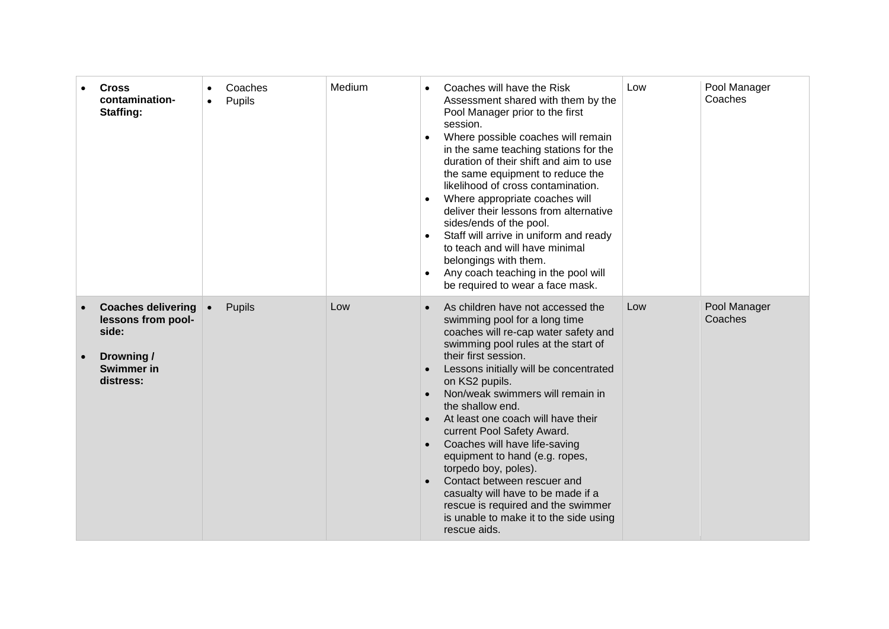| <b>Cross</b><br>contamination-<br>Staffing:                                                              | $\bullet$<br>$\bullet$ | Coaches<br>Pupils | Medium | Coaches will have the Risk<br>Assessment shared with them by the<br>Pool Manager prior to the first<br>session.<br>Where possible coaches will remain<br>in the same teaching stations for the<br>duration of their shift and aim to use<br>the same equipment to reduce the<br>likelihood of cross contamination.<br>Where appropriate coaches will<br>deliver their lessons from alternative<br>sides/ends of the pool.<br>Staff will arrive in uniform and ready<br>to teach and will have minimal<br>belongings with them.<br>Any coach teaching in the pool will<br>be required to wear a face mask.                         | Low | Pool Manager<br>Coaches |
|----------------------------------------------------------------------------------------------------------|------------------------|-------------------|--------|-----------------------------------------------------------------------------------------------------------------------------------------------------------------------------------------------------------------------------------------------------------------------------------------------------------------------------------------------------------------------------------------------------------------------------------------------------------------------------------------------------------------------------------------------------------------------------------------------------------------------------------|-----|-------------------------|
| <b>Coaches delivering</b><br>lessons from pool-<br>side:<br>Drowning /<br><b>Swimmer in</b><br>distress: |                        | Pupils            | Low    | As children have not accessed the<br>swimming pool for a long time<br>coaches will re-cap water safety and<br>swimming pool rules at the start of<br>their first session.<br>Lessons initially will be concentrated<br>on KS2 pupils.<br>Non/weak swimmers will remain in<br>the shallow end.<br>At least one coach will have their<br>current Pool Safety Award.<br>Coaches will have life-saving<br>equipment to hand (e.g. ropes,<br>torpedo boy, poles).<br>Contact between rescuer and<br>casualty will have to be made if a<br>rescue is required and the swimmer<br>is unable to make it to the side using<br>rescue aids. | Low | Pool Manager<br>Coaches |